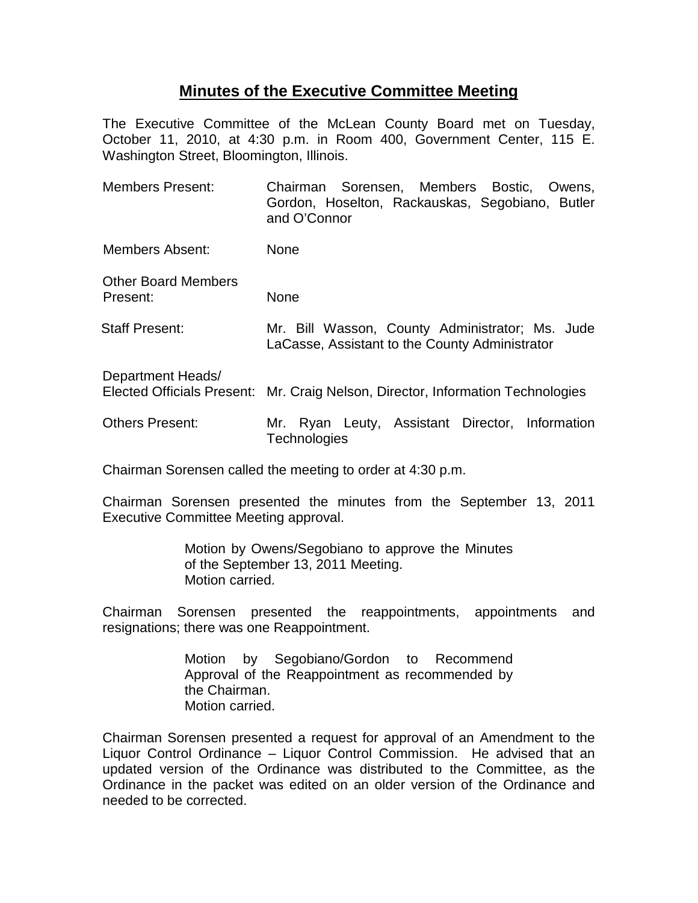# **Minutes of the Executive Committee Meeting**

The Executive Committee of the McLean County Board met on Tuesday, October 11, 2010, at 4:30 p.m. in Room 400, Government Center, 115 E. Washington Street, Bloomington, Illinois.

| <b>Members Present:</b>                | Chairman Sorensen, Members Bostic, Owens,<br>Gordon, Hoselton, Rackauskas, Segobiano, Butler<br>and O'Connor |
|----------------------------------------|--------------------------------------------------------------------------------------------------------------|
| Members Absent:                        | None                                                                                                         |
| <b>Other Board Members</b><br>Present: | None                                                                                                         |
| <b>Staff Present:</b>                  | Mr. Bill Wasson, County Administrator; Ms. Jude<br>LaCasse, Assistant to the County Administrator            |
| Department Heads/                      | Elected Officials Present: Mr. Craig Nelson, Director, Information Technologies                              |
| <b>Others Present:</b>                 | Mr. Ryan Leuty, Assistant Director, Information<br>Technologies                                              |

Chairman Sorensen called the meeting to order at 4:30 p.m.

Chairman Sorensen presented the minutes from the September 13, 2011 Executive Committee Meeting approval.

> Motion by Owens/Segobiano to approve the Minutes of the September 13, 2011 Meeting. Motion carried.

Chairman Sorensen presented the reappointments, appointments and resignations; there was one Reappointment.

> Motion by Segobiano/Gordon to Recommend Approval of the Reappointment as recommended by the Chairman. Motion carried.

Chairman Sorensen presented a request for approval of an Amendment to the Liquor Control Ordinance – Liquor Control Commission. He advised that an updated version of the Ordinance was distributed to the Committee, as the Ordinance in the packet was edited on an older version of the Ordinance and needed to be corrected.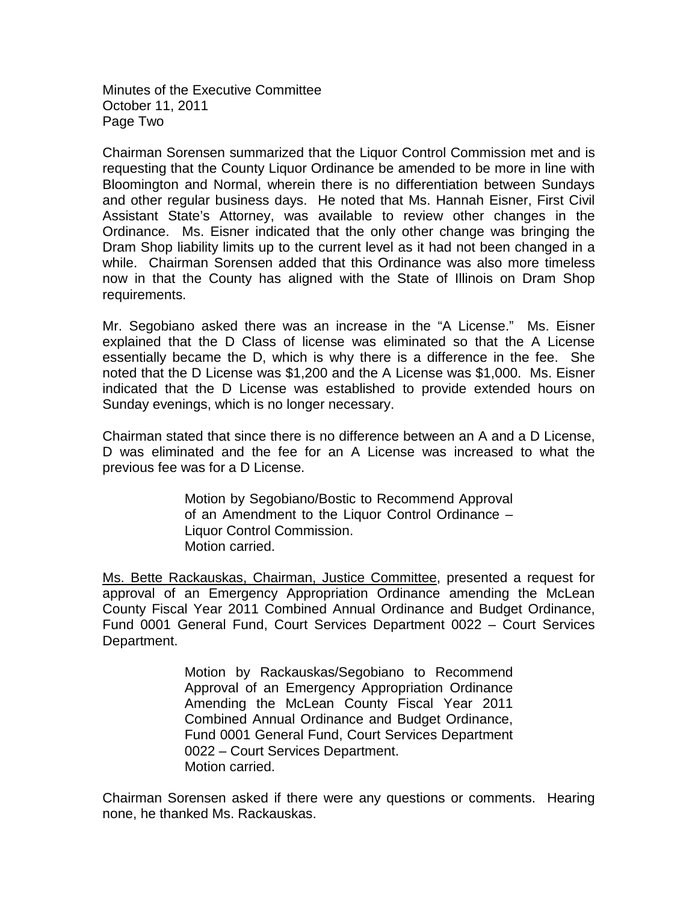Minutes of the Executive Committee October 11, 2011 Page Two

Chairman Sorensen summarized that the Liquor Control Commission met and is requesting that the County Liquor Ordinance be amended to be more in line with Bloomington and Normal, wherein there is no differentiation between Sundays and other regular business days. He noted that Ms. Hannah Eisner, First Civil Assistant State's Attorney, was available to review other changes in the Ordinance. Ms. Eisner indicated that the only other change was bringing the Dram Shop liability limits up to the current level as it had not been changed in a while. Chairman Sorensen added that this Ordinance was also more timeless now in that the County has aligned with the State of Illinois on Dram Shop requirements.

Mr. Segobiano asked there was an increase in the "A License." Ms. Eisner explained that the D Class of license was eliminated so that the A License essentially became the D, which is why there is a difference in the fee. She noted that the D License was \$1,200 and the A License was \$1,000. Ms. Eisner indicated that the D License was established to provide extended hours on Sunday evenings, which is no longer necessary.

Chairman stated that since there is no difference between an A and a D License, D was eliminated and the fee for an A License was increased to what the previous fee was for a D License.

> Motion by Segobiano/Bostic to Recommend Approval of an Amendment to the Liquor Control Ordinance – Liquor Control Commission. Motion carried.

Ms. Bette Rackauskas, Chairman, Justice Committee, presented a request for approval of an Emergency Appropriation Ordinance amending the McLean County Fiscal Year 2011 Combined Annual Ordinance and Budget Ordinance, Fund 0001 General Fund, Court Services Department 0022 – Court Services Department.

> Motion by Rackauskas/Segobiano to Recommend Approval of an Emergency Appropriation Ordinance Amending the McLean County Fiscal Year 2011 Combined Annual Ordinance and Budget Ordinance, Fund 0001 General Fund, Court Services Department 0022 – Court Services Department. Motion carried.

Chairman Sorensen asked if there were any questions or comments. Hearing none, he thanked Ms. Rackauskas.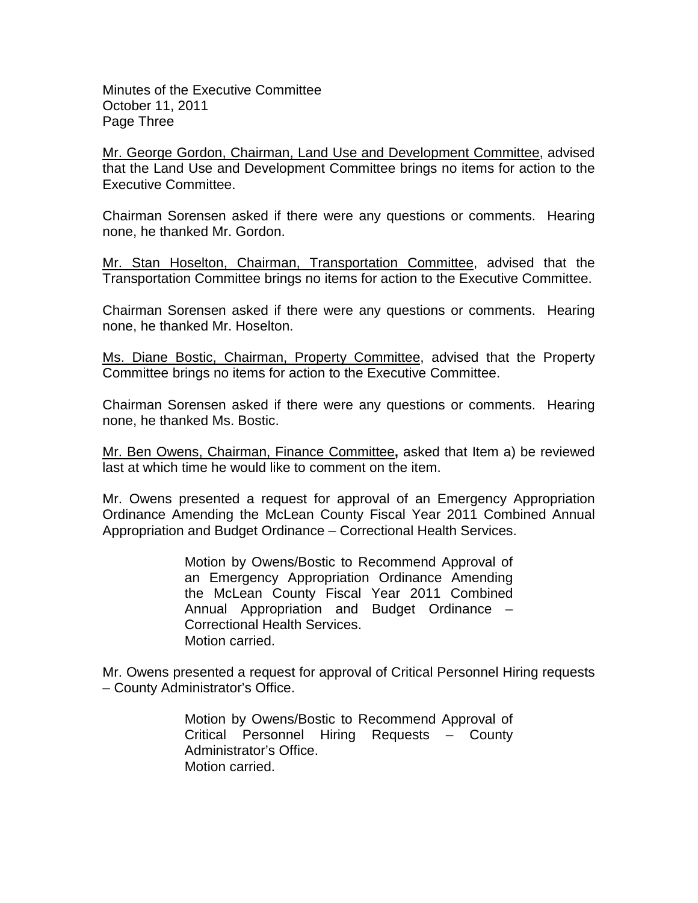Minutes of the Executive Committee October 11, 2011 Page Three

Mr. George Gordon, Chairman, Land Use and Development Committee, advised that the Land Use and Development Committee brings no items for action to the Executive Committee.

Chairman Sorensen asked if there were any questions or comments. Hearing none, he thanked Mr. Gordon.

Mr. Stan Hoselton, Chairman, Transportation Committee, advised that the Transportation Committee brings no items for action to the Executive Committee.

Chairman Sorensen asked if there were any questions or comments. Hearing none, he thanked Mr. Hoselton.

Ms. Diane Bostic, Chairman, Property Committee, advised that the Property Committee brings no items for action to the Executive Committee.

Chairman Sorensen asked if there were any questions or comments. Hearing none, he thanked Ms. Bostic.

Mr. Ben Owens, Chairman, Finance Committee**,** asked that Item a) be reviewed last at which time he would like to comment on the item.

Mr. Owens presented a request for approval of an Emergency Appropriation Ordinance Amending the McLean County Fiscal Year 2011 Combined Annual Appropriation and Budget Ordinance – Correctional Health Services.

> Motion by Owens/Bostic to Recommend Approval of an Emergency Appropriation Ordinance Amending the McLean County Fiscal Year 2011 Combined Annual Appropriation and Budget Ordinance – Correctional Health Services. Motion carried.

Mr. Owens presented a request for approval of Critical Personnel Hiring requests – County Administrator's Office.

> Motion by Owens/Bostic to Recommend Approval of Critical Personnel Hiring Requests – County Administrator's Office. Motion carried.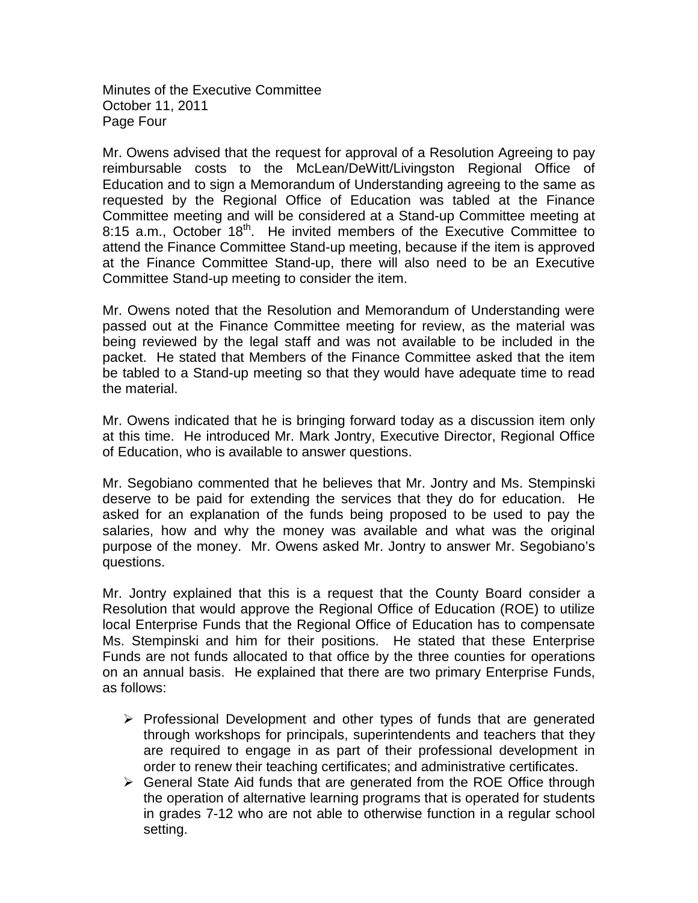Minutes of the Executive Committee October 11, 2011 Page Four

Mr. Owens advised that the request for approval of a Resolution Agreeing to pay reimbursable costs to the McLean/DeWitt/Livingston Regional Office of Education and to sign a Memorandum of Understanding agreeing to the same as requested by the Regional Office of Education was tabled at the Finance Committee meeting and will be considered at a Stand-up Committee meeting at 8:15 a.m., October 18<sup>th</sup>. He invited members of the Executive Committee to attend the Finance Committee Stand-up meeting, because if the item is approved at the Finance Committee Stand-up, there will also need to be an Executive Committee Stand-up meeting to consider the item.

Mr. Owens noted that the Resolution and Memorandum of Understanding were passed out at the Finance Committee meeting for review, as the material was being reviewed by the legal staff and was not available to be included in the packet. He stated that Members of the Finance Committee asked that the item be tabled to a Stand-up meeting so that they would have adequate time to read the material.

Mr. Owens indicated that he is bringing forward today as a discussion item only at this time. He introduced Mr. Mark Jontry, Executive Director, Regional Office of Education, who is available to answer questions.

Mr. Segobiano commented that he believes that Mr. Jontry and Ms. Stempinski deserve to be paid for extending the services that they do for education. He asked for an explanation of the funds being proposed to be used to pay the salaries, how and why the money was available and what was the original purpose of the money. Mr. Owens asked Mr. Jontry to answer Mr. Segobiano's questions.

Mr. Jontry explained that this is a request that the County Board consider a Resolution that would approve the Regional Office of Education (ROE) to utilize local Enterprise Funds that the Regional Office of Education has to compensate Ms. Stempinski and him for their positions. He stated that these Enterprise Funds are not funds allocated to that office by the three counties for operations on an annual basis. He explained that there are two primary Enterprise Funds, as follows:

- $\triangleright$  Professional Development and other types of funds that are generated through workshops for principals, superintendents and teachers that they are required to engage in as part of their professional development in order to renew their teaching certificates; and administrative certificates.
- $\triangleright$  General State Aid funds that are generated from the ROE Office through the operation of alternative learning programs that is operated for students in grades 7-12 who are not able to otherwise function in a regular school setting.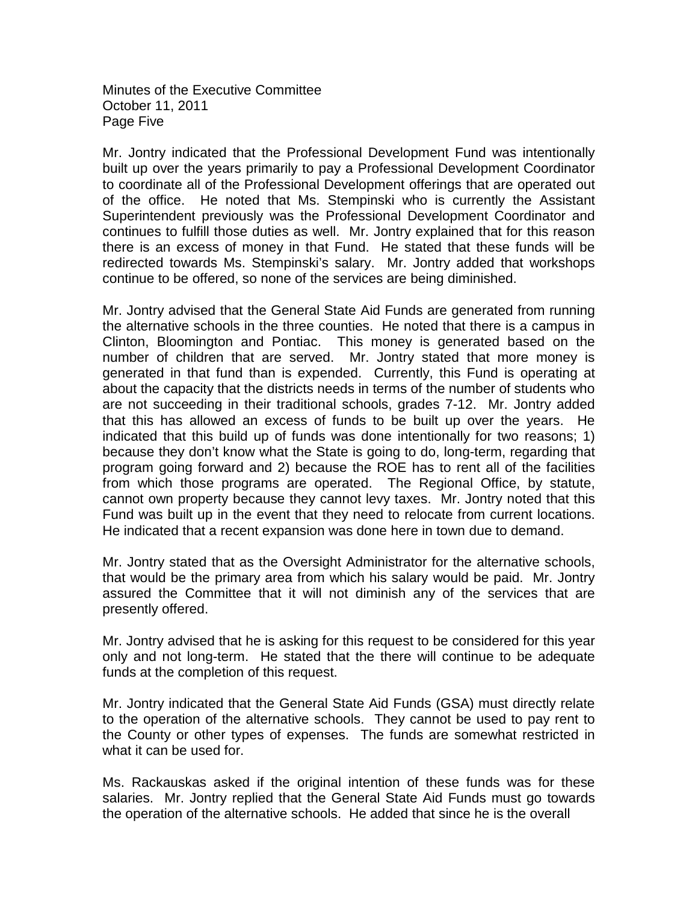Minutes of the Executive Committee October 11, 2011 Page Five

Mr. Jontry indicated that the Professional Development Fund was intentionally built up over the years primarily to pay a Professional Development Coordinator to coordinate all of the Professional Development offerings that are operated out of the office. He noted that Ms. Stempinski who is currently the Assistant Superintendent previously was the Professional Development Coordinator and continues to fulfill those duties as well. Mr. Jontry explained that for this reason there is an excess of money in that Fund. He stated that these funds will be redirected towards Ms. Stempinski's salary. Mr. Jontry added that workshops continue to be offered, so none of the services are being diminished.

Mr. Jontry advised that the General State Aid Funds are generated from running the alternative schools in the three counties. He noted that there is a campus in Clinton, Bloomington and Pontiac. This money is generated based on the number of children that are served. Mr. Jontry stated that more money is generated in that fund than is expended. Currently, this Fund is operating at about the capacity that the districts needs in terms of the number of students who are not succeeding in their traditional schools, grades 7-12. Mr. Jontry added that this has allowed an excess of funds to be built up over the years. He indicated that this build up of funds was done intentionally for two reasons; 1) because they don't know what the State is going to do, long-term, regarding that program going forward and 2) because the ROE has to rent all of the facilities from which those programs are operated. The Regional Office, by statute, cannot own property because they cannot levy taxes. Mr. Jontry noted that this Fund was built up in the event that they need to relocate from current locations. He indicated that a recent expansion was done here in town due to demand.

Mr. Jontry stated that as the Oversight Administrator for the alternative schools, that would be the primary area from which his salary would be paid. Mr. Jontry assured the Committee that it will not diminish any of the services that are presently offered.

Mr. Jontry advised that he is asking for this request to be considered for this year only and not long-term. He stated that the there will continue to be adequate funds at the completion of this request.

Mr. Jontry indicated that the General State Aid Funds (GSA) must directly relate to the operation of the alternative schools. They cannot be used to pay rent to the County or other types of expenses. The funds are somewhat restricted in what it can be used for.

Ms. Rackauskas asked if the original intention of these funds was for these salaries. Mr. Jontry replied that the General State Aid Funds must go towards the operation of the alternative schools. He added that since he is the overall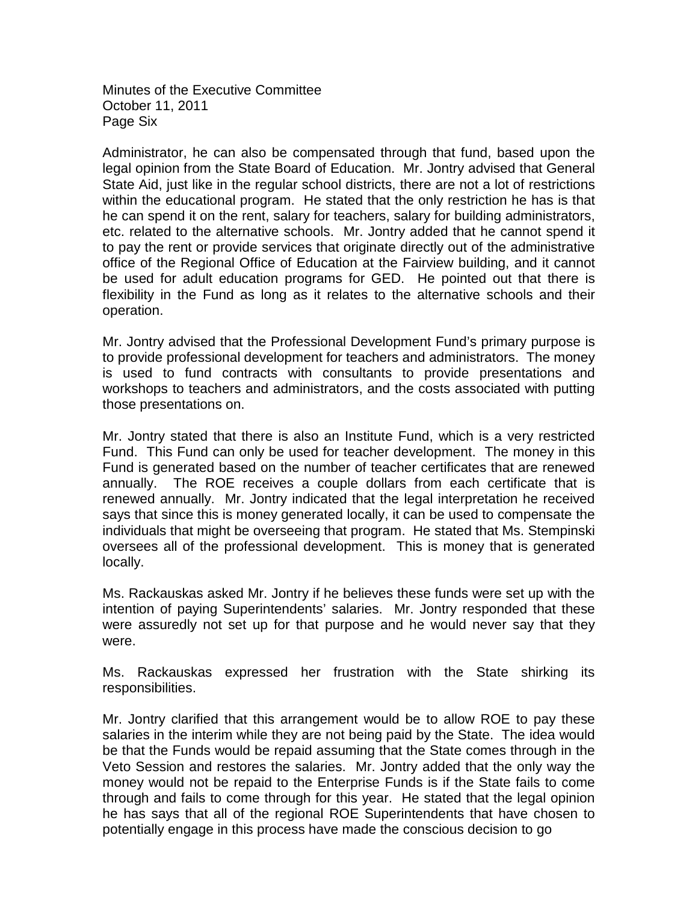Minutes of the Executive Committee October 11, 2011 Page Six

Administrator, he can also be compensated through that fund, based upon the legal opinion from the State Board of Education. Mr. Jontry advised that General State Aid, just like in the regular school districts, there are not a lot of restrictions within the educational program. He stated that the only restriction he has is that he can spend it on the rent, salary for teachers, salary for building administrators, etc. related to the alternative schools. Mr. Jontry added that he cannot spend it to pay the rent or provide services that originate directly out of the administrative office of the Regional Office of Education at the Fairview building, and it cannot be used for adult education programs for GED. He pointed out that there is flexibility in the Fund as long as it relates to the alternative schools and their operation.

Mr. Jontry advised that the Professional Development Fund's primary purpose is to provide professional development for teachers and administrators. The money is used to fund contracts with consultants to provide presentations and workshops to teachers and administrators, and the costs associated with putting those presentations on.

Mr. Jontry stated that there is also an Institute Fund, which is a very restricted Fund. This Fund can only be used for teacher development. The money in this Fund is generated based on the number of teacher certificates that are renewed annually. The ROE receives a couple dollars from each certificate that is renewed annually. Mr. Jontry indicated that the legal interpretation he received says that since this is money generated locally, it can be used to compensate the individuals that might be overseeing that program. He stated that Ms. Stempinski oversees all of the professional development. This is money that is generated locally.

Ms. Rackauskas asked Mr. Jontry if he believes these funds were set up with the intention of paying Superintendents' salaries. Mr. Jontry responded that these were assuredly not set up for that purpose and he would never say that they were.

Ms. Rackauskas expressed her frustration with the State shirking its responsibilities.

Mr. Jontry clarified that this arrangement would be to allow ROE to pay these salaries in the interim while they are not being paid by the State. The idea would be that the Funds would be repaid assuming that the State comes through in the Veto Session and restores the salaries. Mr. Jontry added that the only way the money would not be repaid to the Enterprise Funds is if the State fails to come through and fails to come through for this year. He stated that the legal opinion he has says that all of the regional ROE Superintendents that have chosen to potentially engage in this process have made the conscious decision to go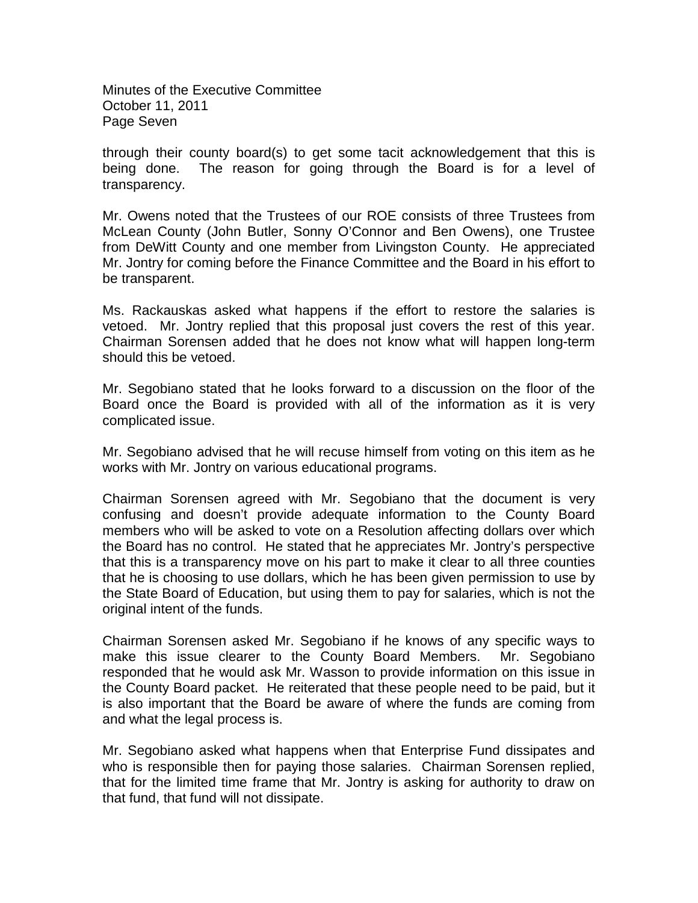Minutes of the Executive Committee October 11, 2011 Page Seven

through their county board(s) to get some tacit acknowledgement that this is being done. The reason for going through the Board is for a level of transparency.

Mr. Owens noted that the Trustees of our ROE consists of three Trustees from McLean County (John Butler, Sonny O'Connor and Ben Owens), one Trustee from DeWitt County and one member from Livingston County. He appreciated Mr. Jontry for coming before the Finance Committee and the Board in his effort to be transparent.

Ms. Rackauskas asked what happens if the effort to restore the salaries is vetoed. Mr. Jontry replied that this proposal just covers the rest of this year. Chairman Sorensen added that he does not know what will happen long-term should this be vetoed.

Mr. Segobiano stated that he looks forward to a discussion on the floor of the Board once the Board is provided with all of the information as it is very complicated issue.

Mr. Segobiano advised that he will recuse himself from voting on this item as he works with Mr. Jontry on various educational programs.

Chairman Sorensen agreed with Mr. Segobiano that the document is very confusing and doesn't provide adequate information to the County Board members who will be asked to vote on a Resolution affecting dollars over which the Board has no control. He stated that he appreciates Mr. Jontry's perspective that this is a transparency move on his part to make it clear to all three counties that he is choosing to use dollars, which he has been given permission to use by the State Board of Education, but using them to pay for salaries, which is not the original intent of the funds.

Chairman Sorensen asked Mr. Segobiano if he knows of any specific ways to make this issue clearer to the County Board Members. Mr. Segobiano responded that he would ask Mr. Wasson to provide information on this issue in the County Board packet. He reiterated that these people need to be paid, but it is also important that the Board be aware of where the funds are coming from and what the legal process is.

Mr. Segobiano asked what happens when that Enterprise Fund dissipates and who is responsible then for paying those salaries. Chairman Sorensen replied, that for the limited time frame that Mr. Jontry is asking for authority to draw on that fund, that fund will not dissipate.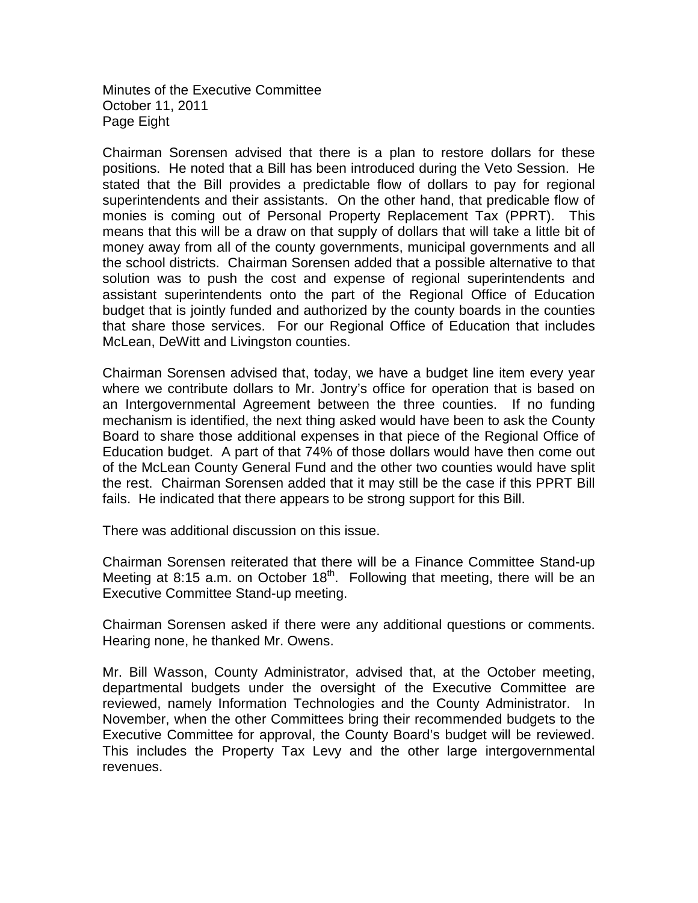Minutes of the Executive Committee October 11, 2011 Page Eight

Chairman Sorensen advised that there is a plan to restore dollars for these positions. He noted that a Bill has been introduced during the Veto Session. He stated that the Bill provides a predictable flow of dollars to pay for regional superintendents and their assistants. On the other hand, that predicable flow of monies is coming out of Personal Property Replacement Tax (PPRT). This means that this will be a draw on that supply of dollars that will take a little bit of money away from all of the county governments, municipal governments and all the school districts. Chairman Sorensen added that a possible alternative to that solution was to push the cost and expense of regional superintendents and assistant superintendents onto the part of the Regional Office of Education budget that is jointly funded and authorized by the county boards in the counties that share those services. For our Regional Office of Education that includes McLean, DeWitt and Livingston counties.

Chairman Sorensen advised that, today, we have a budget line item every year where we contribute dollars to Mr. Jontry's office for operation that is based on an Intergovernmental Agreement between the three counties. If no funding mechanism is identified, the next thing asked would have been to ask the County Board to share those additional expenses in that piece of the Regional Office of Education budget. A part of that 74% of those dollars would have then come out of the McLean County General Fund and the other two counties would have split the rest. Chairman Sorensen added that it may still be the case if this PPRT Bill fails. He indicated that there appears to be strong support for this Bill.

There was additional discussion on this issue.

Chairman Sorensen reiterated that there will be a Finance Committee Stand-up Meeting at 8:15 a.m. on October  $18<sup>th</sup>$ . Following that meeting, there will be an Executive Committee Stand-up meeting.

Chairman Sorensen asked if there were any additional questions or comments. Hearing none, he thanked Mr. Owens.

Mr. Bill Wasson, County Administrator, advised that, at the October meeting, departmental budgets under the oversight of the Executive Committee are reviewed, namely Information Technologies and the County Administrator. In November, when the other Committees bring their recommended budgets to the Executive Committee for approval, the County Board's budget will be reviewed. This includes the Property Tax Levy and the other large intergovernmental revenues.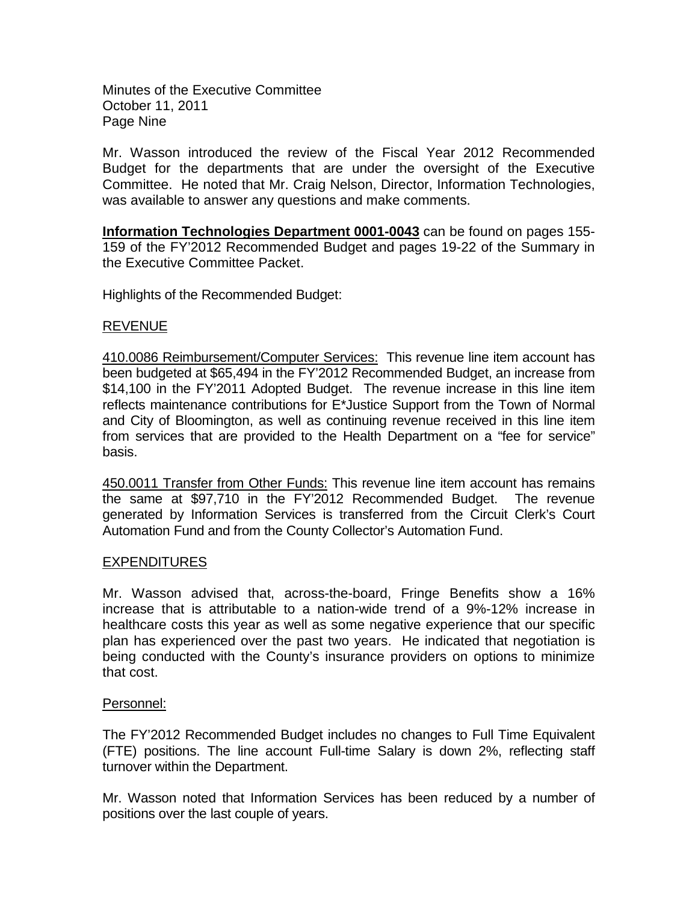Minutes of the Executive Committee October 11, 2011 Page Nine

Mr. Wasson introduced the review of the Fiscal Year 2012 Recommended Budget for the departments that are under the oversight of the Executive Committee. He noted that Mr. Craig Nelson, Director, Information Technologies, was available to answer any questions and make comments.

**Information Technologies Department 0001-0043** can be found on pages 155- 159 of the FY'2012 Recommended Budget and pages 19-22 of the Summary in the Executive Committee Packet.

Highlights of the Recommended Budget:

# REVENUE

410.0086 Reimbursement/Computer Services: This revenue line item account has been budgeted at \$65,494 in the FY'2012 Recommended Budget, an increase from \$14,100 in the FY'2011 Adopted Budget. The revenue increase in this line item reflects maintenance contributions for E\*Justice Support from the Town of Normal and City of Bloomington, as well as continuing revenue received in this line item from services that are provided to the Health Department on a "fee for service" basis.

450.0011 Transfer from Other Funds: This revenue line item account has remains the same at \$97,710 in the FY'2012 Recommended Budget. The revenue generated by Information Services is transferred from the Circuit Clerk's Court Automation Fund and from the County Collector's Automation Fund.

# EXPENDITURES

Mr. Wasson advised that, across-the-board, Fringe Benefits show a 16% increase that is attributable to a nation-wide trend of a 9%-12% increase in healthcare costs this year as well as some negative experience that our specific plan has experienced over the past two years. He indicated that negotiation is being conducted with the County's insurance providers on options to minimize that cost.

# Personnel:

The FY'2012 Recommended Budget includes no changes to Full Time Equivalent (FTE) positions. The line account Full-time Salary is down 2%, reflecting staff turnover within the Department.

Mr. Wasson noted that Information Services has been reduced by a number of positions over the last couple of years.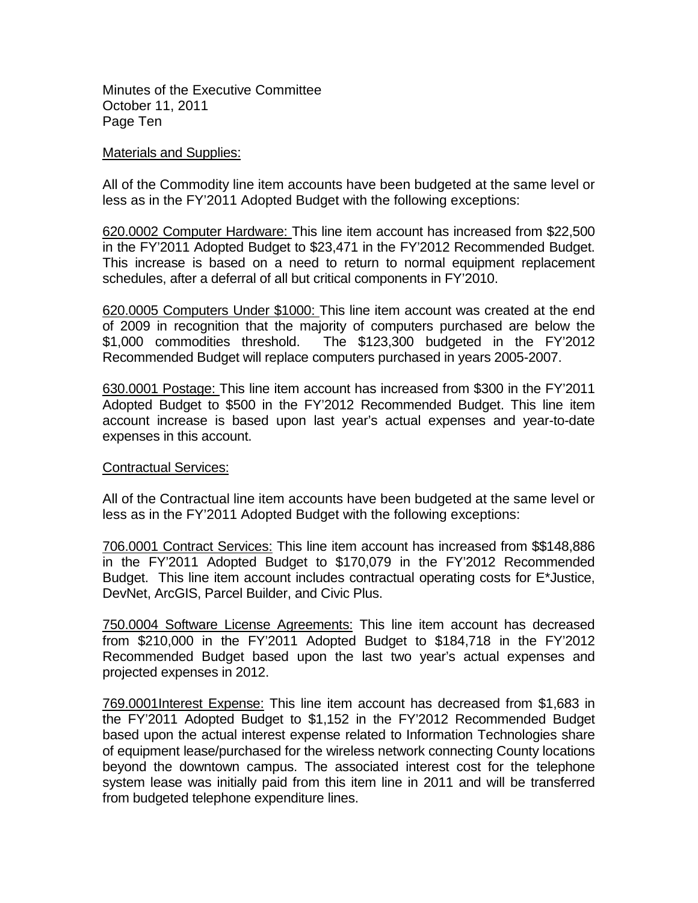Minutes of the Executive Committee October 11, 2011 Page Ten

#### Materials and Supplies:

All of the Commodity line item accounts have been budgeted at the same level or less as in the FY'2011 Adopted Budget with the following exceptions:

620.0002 Computer Hardware: This line item account has increased from \$22,500 in the FY'2011 Adopted Budget to \$23,471 in the FY'2012 Recommended Budget. This increase is based on a need to return to normal equipment replacement schedules, after a deferral of all but critical components in FY'2010.

620.0005 Computers Under \$1000: This line item account was created at the end of 2009 in recognition that the majority of computers purchased are below the \$1,000 commodities threshold. The \$123,300 budgeted in the FY'2012 Recommended Budget will replace computers purchased in years 2005-2007.

630.0001 Postage: This line item account has increased from \$300 in the FY'2011 Adopted Budget to \$500 in the FY'2012 Recommended Budget. This line item account increase is based upon last year's actual expenses and year-to-date expenses in this account.

## Contractual Services:

All of the Contractual line item accounts have been budgeted at the same level or less as in the FY'2011 Adopted Budget with the following exceptions:

706.0001 Contract Services: This line item account has increased from \$\$148,886 in the FY'2011 Adopted Budget to \$170,079 in the FY'2012 Recommended Budget. This line item account includes contractual operating costs for E\*Justice, DevNet, ArcGIS, Parcel Builder, and Civic Plus.

750.0004 Software License Agreements: This line item account has decreased from \$210,000 in the FY'2011 Adopted Budget to \$184,718 in the FY'2012 Recommended Budget based upon the last two year's actual expenses and projected expenses in 2012.

769.0001Interest Expense: This line item account has decreased from \$1,683 in the FY'2011 Adopted Budget to \$1,152 in the FY'2012 Recommended Budget based upon the actual interest expense related to Information Technologies share of equipment lease/purchased for the wireless network connecting County locations beyond the downtown campus. The associated interest cost for the telephone system lease was initially paid from this item line in 2011 and will be transferred from budgeted telephone expenditure lines.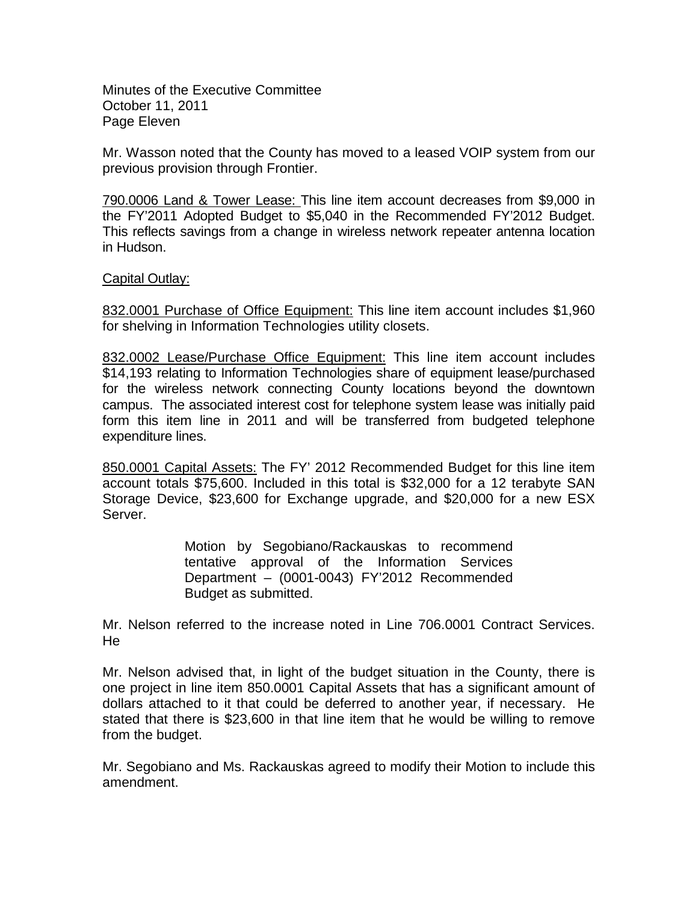Minutes of the Executive Committee October 11, 2011 Page Eleven

Mr. Wasson noted that the County has moved to a leased VOIP system from our previous provision through Frontier.

790.0006 Land & Tower Lease: This line item account decreases from \$9,000 in the FY'2011 Adopted Budget to \$5,040 in the Recommended FY'2012 Budget. This reflects savings from a change in wireless network repeater antenna location in Hudson.

## Capital Outlay:

832.0001 Purchase of Office Equipment: This line item account includes \$1,960 for shelving in Information Technologies utility closets.

832.0002 Lease/Purchase Office Equipment: This line item account includes \$14,193 relating to Information Technologies share of equipment lease/purchased for the wireless network connecting County locations beyond the downtown campus. The associated interest cost for telephone system lease was initially paid form this item line in 2011 and will be transferred from budgeted telephone expenditure lines.

850.0001 Capital Assets: The FY' 2012 Recommended Budget for this line item account totals \$75,600. Included in this total is \$32,000 for a 12 terabyte SAN Storage Device, \$23,600 for Exchange upgrade, and \$20,000 for a new ESX Server.

> Motion by Segobiano/Rackauskas to recommend tentative approval of the Information Services Department – (0001-0043) FY'2012 Recommended Budget as submitted.

Mr. Nelson referred to the increase noted in Line 706.0001 Contract Services. He

Mr. Nelson advised that, in light of the budget situation in the County, there is one project in line item 850.0001 Capital Assets that has a significant amount of dollars attached to it that could be deferred to another year, if necessary. He stated that there is \$23,600 in that line item that he would be willing to remove from the budget.

Mr. Segobiano and Ms. Rackauskas agreed to modify their Motion to include this amendment.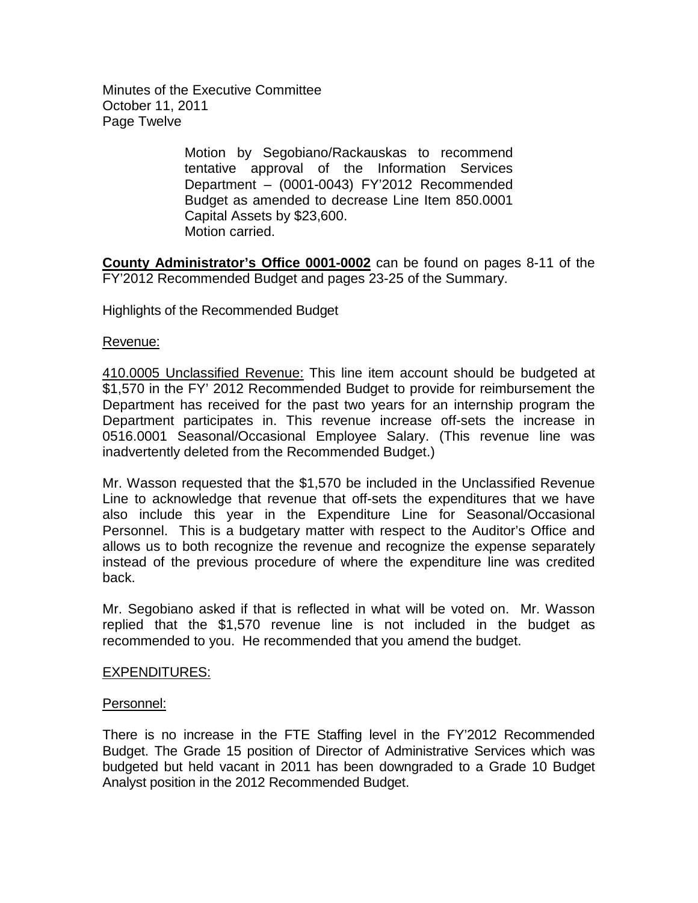Minutes of the Executive Committee October 11, 2011 Page Twelve

> Motion by Segobiano/Rackauskas to recommend tentative approval of the Information Services Department – (0001-0043) FY'2012 Recommended Budget as amended to decrease Line Item 850.0001 Capital Assets by \$23,600. Motion carried.

**County Administrator's Office 0001-0002** can be found on pages 8-11 of the FY'2012 Recommended Budget and pages 23-25 of the Summary.

Highlights of the Recommended Budget

Revenue:

410.0005 Unclassified Revenue: This line item account should be budgeted at \$1,570 in the FY' 2012 Recommended Budget to provide for reimbursement the Department has received for the past two years for an internship program the Department participates in. This revenue increase off-sets the increase in 0516.0001 Seasonal/Occasional Employee Salary. (This revenue line was inadvertently deleted from the Recommended Budget.)

Mr. Wasson requested that the \$1,570 be included in the Unclassified Revenue Line to acknowledge that revenue that off-sets the expenditures that we have also include this year in the Expenditure Line for Seasonal/Occasional Personnel. This is a budgetary matter with respect to the Auditor's Office and allows us to both recognize the revenue and recognize the expense separately instead of the previous procedure of where the expenditure line was credited back.

Mr. Segobiano asked if that is reflected in what will be voted on. Mr. Wasson replied that the \$1,570 revenue line is not included in the budget as recommended to you. He recommended that you amend the budget.

## EXPENDITURES:

## Personnel:

There is no increase in the FTE Staffing level in the FY'2012 Recommended Budget. The Grade 15 position of Director of Administrative Services which was budgeted but held vacant in 2011 has been downgraded to a Grade 10 Budget Analyst position in the 2012 Recommended Budget.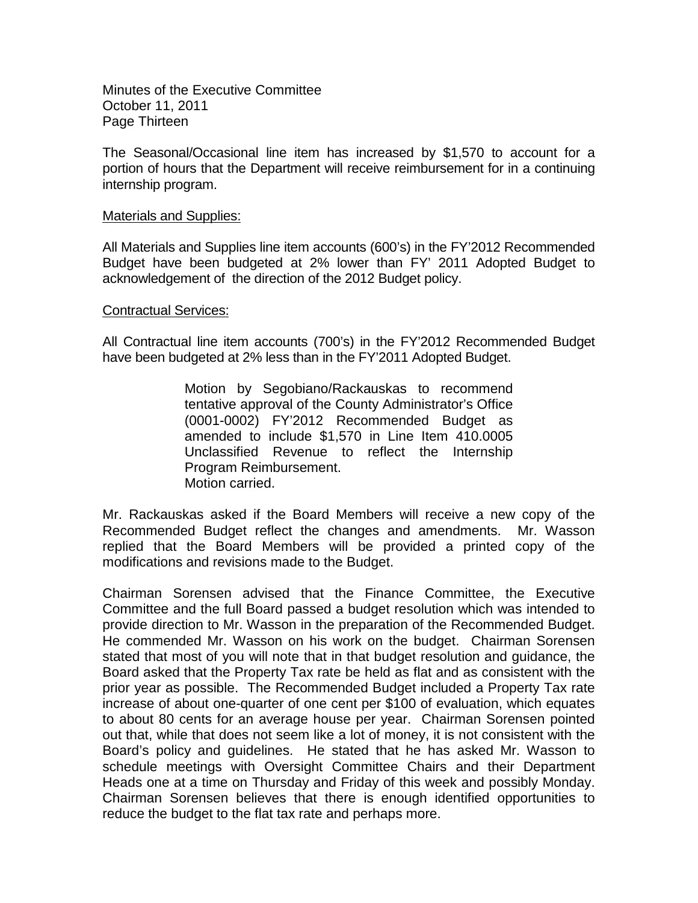Minutes of the Executive Committee October 11, 2011 Page Thirteen

The Seasonal/Occasional line item has increased by \$1,570 to account for a portion of hours that the Department will receive reimbursement for in a continuing internship program.

#### Materials and Supplies:

All Materials and Supplies line item accounts (600's) in the FY'2012 Recommended Budget have been budgeted at 2% lower than FY' 2011 Adopted Budget to acknowledgement of the direction of the 2012 Budget policy.

#### Contractual Services:

All Contractual line item accounts (700's) in the FY'2012 Recommended Budget have been budgeted at 2% less than in the FY'2011 Adopted Budget.

> Motion by Segobiano/Rackauskas to recommend tentative approval of the County Administrator's Office (0001-0002) FY'2012 Recommended Budget as amended to include \$1,570 in Line Item 410.0005 Unclassified Revenue to reflect the Internship Program Reimbursement. Motion carried.

Mr. Rackauskas asked if the Board Members will receive a new copy of the Recommended Budget reflect the changes and amendments. Mr. Wasson replied that the Board Members will be provided a printed copy of the modifications and revisions made to the Budget.

Chairman Sorensen advised that the Finance Committee, the Executive Committee and the full Board passed a budget resolution which was intended to provide direction to Mr. Wasson in the preparation of the Recommended Budget. He commended Mr. Wasson on his work on the budget. Chairman Sorensen stated that most of you will note that in that budget resolution and guidance, the Board asked that the Property Tax rate be held as flat and as consistent with the prior year as possible. The Recommended Budget included a Property Tax rate increase of about one-quarter of one cent per \$100 of evaluation, which equates to about 80 cents for an average house per year. Chairman Sorensen pointed out that, while that does not seem like a lot of money, it is not consistent with the Board's policy and guidelines. He stated that he has asked Mr. Wasson to schedule meetings with Oversight Committee Chairs and their Department Heads one at a time on Thursday and Friday of this week and possibly Monday. Chairman Sorensen believes that there is enough identified opportunities to reduce the budget to the flat tax rate and perhaps more.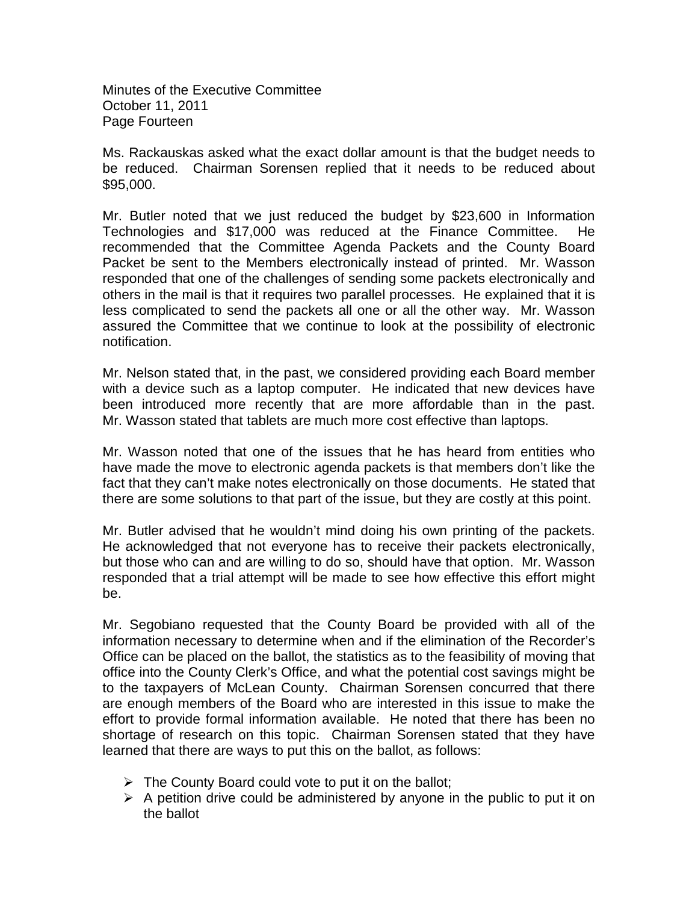Minutes of the Executive Committee October 11, 2011 Page Fourteen

Ms. Rackauskas asked what the exact dollar amount is that the budget needs to be reduced. Chairman Sorensen replied that it needs to be reduced about \$95,000.

Mr. Butler noted that we just reduced the budget by \$23,600 in Information Technologies and \$17,000 was reduced at the Finance Committee. He recommended that the Committee Agenda Packets and the County Board Packet be sent to the Members electronically instead of printed. Mr. Wasson responded that one of the challenges of sending some packets electronically and others in the mail is that it requires two parallel processes. He explained that it is less complicated to send the packets all one or all the other way. Mr. Wasson assured the Committee that we continue to look at the possibility of electronic notification.

Mr. Nelson stated that, in the past, we considered providing each Board member with a device such as a laptop computer. He indicated that new devices have been introduced more recently that are more affordable than in the past. Mr. Wasson stated that tablets are much more cost effective than laptops.

Mr. Wasson noted that one of the issues that he has heard from entities who have made the move to electronic agenda packets is that members don't like the fact that they can't make notes electronically on those documents. He stated that there are some solutions to that part of the issue, but they are costly at this point.

Mr. Butler advised that he wouldn't mind doing his own printing of the packets. He acknowledged that not everyone has to receive their packets electronically, but those who can and are willing to do so, should have that option. Mr. Wasson responded that a trial attempt will be made to see how effective this effort might be.

Mr. Segobiano requested that the County Board be provided with all of the information necessary to determine when and if the elimination of the Recorder's Office can be placed on the ballot, the statistics as to the feasibility of moving that office into the County Clerk's Office, and what the potential cost savings might be to the taxpayers of McLean County. Chairman Sorensen concurred that there are enough members of the Board who are interested in this issue to make the effort to provide formal information available. He noted that there has been no shortage of research on this topic. Chairman Sorensen stated that they have learned that there are ways to put this on the ballot, as follows:

- $\triangleright$  The County Board could vote to put it on the ballot;
- $\triangleright$  A petition drive could be administered by anyone in the public to put it on the ballot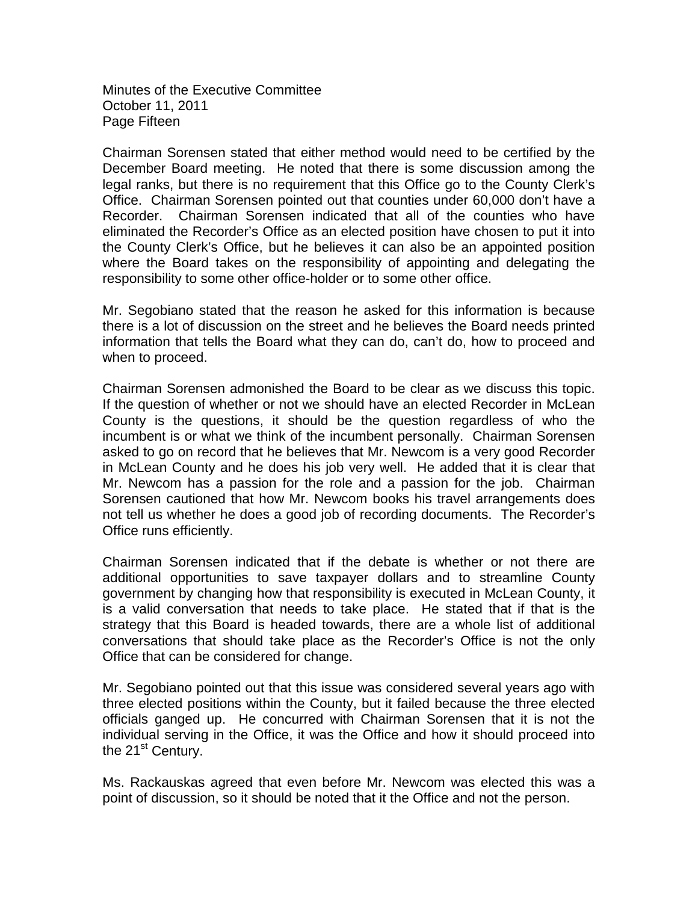Minutes of the Executive Committee October 11, 2011 Page Fifteen

Chairman Sorensen stated that either method would need to be certified by the December Board meeting. He noted that there is some discussion among the legal ranks, but there is no requirement that this Office go to the County Clerk's Office. Chairman Sorensen pointed out that counties under 60,000 don't have a Recorder. Chairman Sorensen indicated that all of the counties who have eliminated the Recorder's Office as an elected position have chosen to put it into the County Clerk's Office, but he believes it can also be an appointed position where the Board takes on the responsibility of appointing and delegating the responsibility to some other office-holder or to some other office.

Mr. Segobiano stated that the reason he asked for this information is because there is a lot of discussion on the street and he believes the Board needs printed information that tells the Board what they can do, can't do, how to proceed and when to proceed.

Chairman Sorensen admonished the Board to be clear as we discuss this topic. If the question of whether or not we should have an elected Recorder in McLean County is the questions, it should be the question regardless of who the incumbent is or what we think of the incumbent personally. Chairman Sorensen asked to go on record that he believes that Mr. Newcom is a very good Recorder in McLean County and he does his job very well. He added that it is clear that Mr. Newcom has a passion for the role and a passion for the job. Chairman Sorensen cautioned that how Mr. Newcom books his travel arrangements does not tell us whether he does a good job of recording documents. The Recorder's Office runs efficiently.

Chairman Sorensen indicated that if the debate is whether or not there are additional opportunities to save taxpayer dollars and to streamline County government by changing how that responsibility is executed in McLean County, it is a valid conversation that needs to take place. He stated that if that is the strategy that this Board is headed towards, there are a whole list of additional conversations that should take place as the Recorder's Office is not the only Office that can be considered for change.

Mr. Segobiano pointed out that this issue was considered several years ago with three elected positions within the County, but it failed because the three elected officials ganged up. He concurred with Chairman Sorensen that it is not the individual serving in the Office, it was the Office and how it should proceed into the 21<sup>st</sup> Century.

Ms. Rackauskas agreed that even before Mr. Newcom was elected this was a point of discussion, so it should be noted that it the Office and not the person.